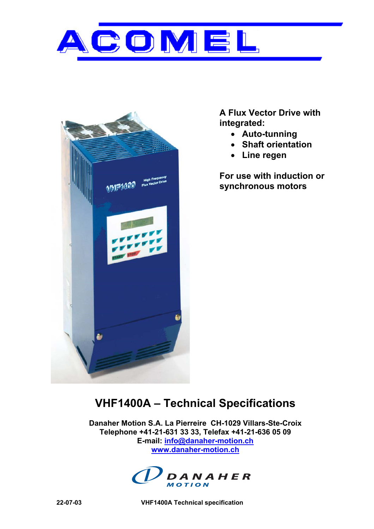



**A Flux Vector Drive with integrated:** 

- **Auto-tunning**
- **Shaft orientation**
- **Line regen**

**For use with induction or synchronous motors** 

# **VHF1400A – Technical Specifications**

**Danaher Motion S.A. La Pierreire CH-1029 Villars-Ste-Croix Telephone +41-21-631 33 33, Telefax +41-21-636 05 09 E-mail: info@danaher-motion.ch www.danaher-motion.ch**



**22-07-03 VHF1400A Technical specification**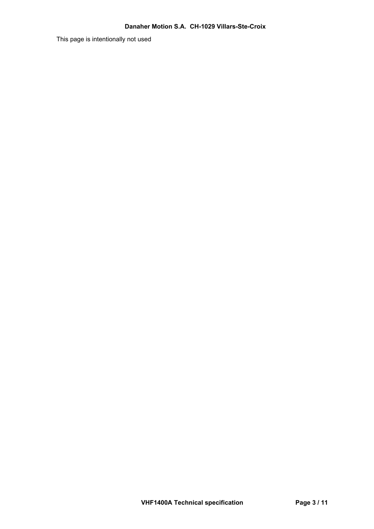This page is intentionally not used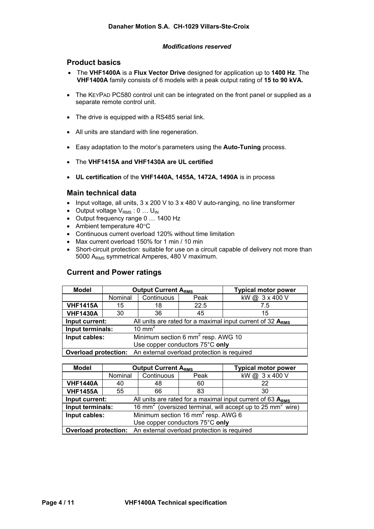#### *Modifications reserved*

## **Product basics**

- The **VHF1400A** is a **Flux Vector Drive** designed for application up to **1400 Hz**. The **VHF1400A** family consists of 6 models with a peak output rating of **15 to 90 kVA.**
- The KEYPAD PC580 control unit can be integrated on the front panel or supplied as a separate remote control unit.
- The drive is equipped with a RS485 serial link.
- All units are standard with line regeneration.
- Easy adaptation to the motor's parameters using the **Auto-Tuning** process.
- The **VHF1415A and VHF1430A are UL certified**
- **UL certification** of the **VHF1440A, 1455A, 1472A, 1490A** is in process

## **Main technical data**

- Input voltage, all units, 3 x 200 V to 3 x 480 V auto-ranging, no line transformer
- Output voltage  $V_{RMS}$ : 0 ...  $U_{IN}$
- Output frequency range 0 … 1400 Hz
- Ambient temperature 40°C
- Continuous current overload 120% without time limitation
- Max current overload 150% for 1 min / 10 min
- Short-circuit protection: suitable for use on a circuit capable of delivery not more than 5000 A<sub>RMS</sub> symmetrical Amperes, 480 V maximum.

## **Current and Power ratings**

| <b>Model</b>     |         | <b>Output Current ARMS</b>                                              |      | <b>Typical motor power</b> |  |  |
|------------------|---------|-------------------------------------------------------------------------|------|----------------------------|--|--|
|                  | Nominal | Continuous<br>Peak                                                      |      | kW@ 3 x 400 V              |  |  |
| <b>VHF1415A</b>  | 15      | 18                                                                      | 22.5 | 7.5                        |  |  |
| <b>VHF1430A</b>  | 30      | 36                                                                      | 45   | 15                         |  |  |
| Input current:   |         | All units are rated for a maximal input current of 32 ARMS              |      |                            |  |  |
| Input terminals: |         | 10 mm <sup>2</sup>                                                      |      |                            |  |  |
| Input cables:    |         | Minimum section 6 mm <sup>2</sup> resp. AWG 10                          |      |                            |  |  |
|                  |         | Use copper conductors 75°C only                                         |      |                            |  |  |
|                  |         | <b>Overload protection:</b> An external overload protection is required |      |                            |  |  |

| <b>Model</b>     |         | <b>Output Current ARMS</b>                                                         |      | <b>Typical motor power</b> |  |  |
|------------------|---------|------------------------------------------------------------------------------------|------|----------------------------|--|--|
|                  | Nominal | Continuous                                                                         | Peak | kW@ 3 x 400 V              |  |  |
| <b>VHF1440A</b>  | 40      | 48                                                                                 | 60   | 22                         |  |  |
| <b>VHF1455A</b>  | 55      | 66                                                                                 | 83   | 30                         |  |  |
| Input current:   |         | All units are rated for a maximal input current of 63 ARMS                         |      |                            |  |  |
| Input terminals: |         | 16 mm <sup>2</sup> (oversized terminal, will accept up to 25 mm <sup>2</sup> wire) |      |                            |  |  |
| Input cables:    |         | Minimum section 16 mm <sup>2</sup> resp. AWG 6                                     |      |                            |  |  |
|                  |         | Use copper conductors 75°C only                                                    |      |                            |  |  |
|                  |         | <b>Overload protection:</b> An external overload protection is required            |      |                            |  |  |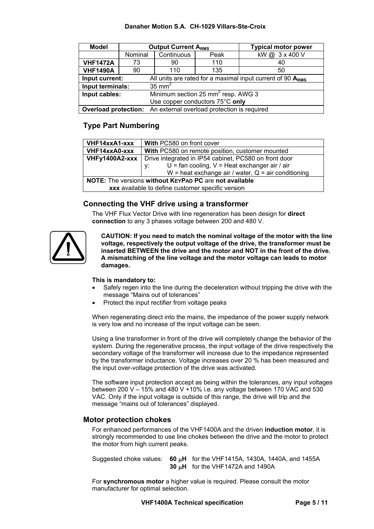## **Danaher Motion S.A. CH-1029 Villars-Ste-Croix**

| <b>Model</b>     |         | <b>Output Current ARMS</b>                                              |     | <b>Typical motor power</b> |  |  |
|------------------|---------|-------------------------------------------------------------------------|-----|----------------------------|--|--|
|                  | Nominal | Continuous<br>Peak                                                      |     | kW@ 3 x 400 V              |  |  |
| <b>VHF1472A</b>  | 73      | 90                                                                      | 110 | 40                         |  |  |
| <b>VHF1490A</b>  | 90      | 110                                                                     | 135 | 50                         |  |  |
| Input current:   |         | All units are rated for a maximal input current of 90 $ARMS$            |     |                            |  |  |
| Input terminals: |         | $35 \text{ mm}^2$                                                       |     |                            |  |  |
| Input cables:    |         | Minimum section 25 mm <sup>2</sup> resp. AWG 3                          |     |                            |  |  |
|                  |         | Use copper conductors 75°C only                                         |     |                            |  |  |
|                  |         | <b>Overload protection:</b> An external overload protection is required |     |                            |  |  |

# **Type Part Numbering**

| VHF14xxA1-xxx                                          | With PC580 on front cover                                          |  |  |
|--------------------------------------------------------|--------------------------------------------------------------------|--|--|
| VHF14xxA0-xxx                                          | With PC580 on remote position, customer mounted                    |  |  |
| VHFy1400A2-xxx                                         | Drive integrated in IP54 cabinet, PC580 on front door              |  |  |
|                                                        | $U = \text{fan cooling}, V = \text{Heat exchange air / air}$<br>V. |  |  |
|                                                        | W = heat exchange air / water, $Q = air$ conditioning              |  |  |
| NOTE: The versions without KEYPAD PC are not available |                                                                    |  |  |
| xxx available to define customer specific version      |                                                                    |  |  |

# **Connecting the VHF drive using a transformer**

The VHF Flux Vector Drive with line regeneration has been design for **direct connection** to any 3 phases voltage between 200 and 480 V.

**CAUTION: If you need to match the nominal voltage of the motor with the line voltage, respectively the output voltage of the drive, the transformer must be inserted BETWEEN the drive and the motor and NOT in the front of the drive. A mismatching of the line voltage and the motor voltage can leads to motor damages.** 

## **This is mandatory to:**

- Safely regen into the line during the deceleration without tripping the drive with the message "Mains out of tolerances"
- Protect the input rectifier from voltage peaks

When regenerating direct into the mains, the impedance of the power supply network is very low and no increase of the input voltage can be seen.

Using a line transformer in front of the drive will completely change the behavior of the system. During the regenerative process, the input voltage of the drive respectively the secondary voltage of the transformer will increase due to the impedance represented by the transformer inductance. Voltage increases over 20 % has been measured and the input over-voltage protection of the drive was activated.

The software input protection accept as being within the tolerances, any input voltages between 200 V – 15% and 480 V +10% i.e. any voltage between 170 VAC and 530 VAC. Only if the input voltage is outside of this range, the drive will trip and the message "mains out of tolerances" displayed.

## **Motor protection chokes**

For enhanced performances of the VHF1400A and the driven **induction motor**, it is strongly recommended to use line chokes between the drive and the motor to protect the motor from high current peaks.

Suggested choke values: **60** µ**H** for the VHF1415A, 1430A, 1440A, and 1455A **30** µ**H** for the VHF1472A and 1490A

For **synchromous motor** a higher value is required. Please consult the motor manufacturer for optimal selection.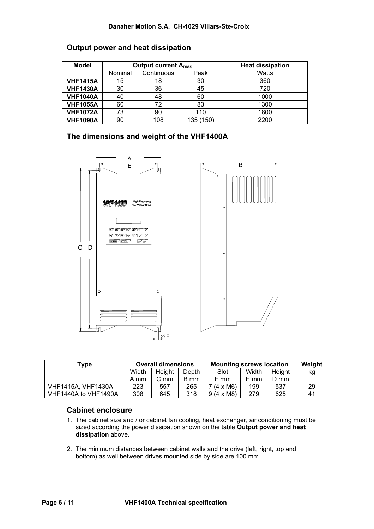## **Danaher Motion S.A. CH-1029 Villars-Ste-Croix**

| <b>Model</b>    |         | <b>Output current A<sub>RMS</sub></b> |           | <b>Heat dissipation</b> |
|-----------------|---------|---------------------------------------|-----------|-------------------------|
|                 | Nominal | Continuous                            | Peak      | Watts                   |
| <b>VHF1415A</b> | 15      | 18                                    | 30        | 360                     |
| <b>VHF1430A</b> | 30      | 36                                    | 45        | 720                     |
| <b>VHF1040A</b> | 40      | 48                                    | 60        | 1000                    |
| <b>VHF1055A</b> | 60      | 72                                    | 83        | 1300                    |
| <b>VHF1072A</b> | 73      | 90                                    | 110       | 1800                    |
| <b>VHF1090A</b> | 90      | 108                                   | 135 (150) | 2200                    |

## **Output power and heat dissipation**

**The dimensions and weight of the VHF1400A** 



| Type                      | <b>Overall dimensions</b> |          | <b>Mounting screws location</b> |                  |       | Weight |    |
|---------------------------|---------------------------|----------|---------------------------------|------------------|-------|--------|----|
|                           | Width                     | Height   | Depth                           | Slot             | Width | Height | kg |
|                           | A mm                      | $C_{mm}$ | B mm                            | F mm             | E mm  | D mm   |    |
| <b>VHF1415A, VHF1430A</b> | 223                       | 557      | 265                             | $7(4 \times M6)$ | 199   | 537    | 29 |
| VHF1440A to VHF1490A      | 308                       | 645      | 318                             | $9(4 \times M8)$ | 279   | 625    | 41 |

# **Cabinet enclosure**

- 1. The cabinet size and / or cabinet fan cooling, heat exchanger, air conditioning must be sized according the power dissipation shown on the table **Output power and heat dissipation** above.
- 2. The minimum distances between cabinet walls and the drive (left, right, top and bottom) as well between drives mounted side by side are 100 mm.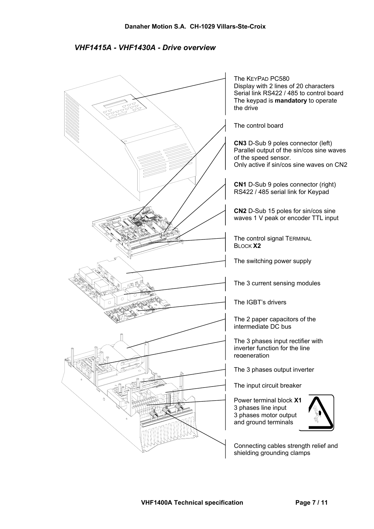*VHF1415A - VHF1430A - Drive overview* 

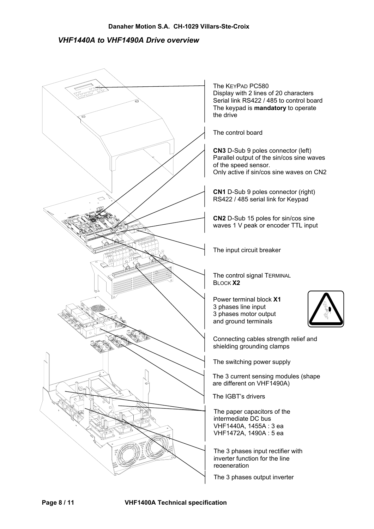# *VHF1440A to VHF1490A Drive overview*

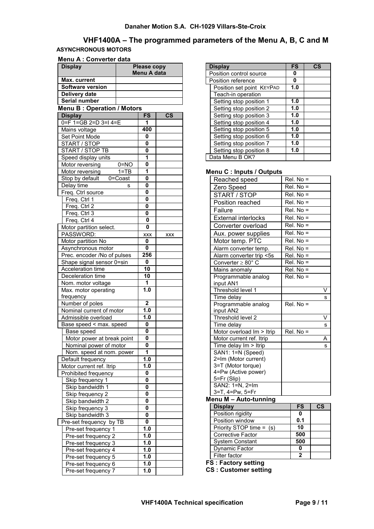## **Danaher Motion S.A. CH-1029 Villars-Ste-Croix**

# **VHF1400A – The programmed parameters of the Menu A, B, C and M ASYNCHRONOUS MOTORS**

#### **Menu A : Converter data**

| <b>Display</b>                                |                    | <b>Please copy</b><br>Menu A data |               |  |
|-----------------------------------------------|--------------------|-----------------------------------|---------------|--|
| Max. current                                  |                    |                                   |               |  |
| <b>Software version</b>                       |                    |                                   |               |  |
| Delivery date                                 |                    |                                   |               |  |
| Serial number                                 |                    |                                   |               |  |
| <b>Menu B: Operation / Motors</b>             |                    |                                   |               |  |
| <b>Display</b>                                |                    | FS                                | $\mathsf{cs}$ |  |
| $0 = F$ 1=GB 2=D 3=I 4=E                      |                    | 1                                 |               |  |
| Mains voltage                                 |                    | 400                               |               |  |
| Set Point Mode                                |                    | 0                                 |               |  |
| START / STOP                                  |                    | 0                                 |               |  |
| START / STOP TB                               |                    | 0                                 |               |  |
| Speed display units                           |                    | 1                                 |               |  |
| Motor reversing                               | $0=NO$             | $\mathbf{0}$                      |               |  |
| Motor reversing                               | $\overline{1}$ =TB | 1                                 |               |  |
| Stop by default                               | $0 =$ Coast        | 0<br>0                            |               |  |
| Delay time                                    | s                  | 0                                 |               |  |
| Freq. Ctrl source                             |                    | 0                                 |               |  |
| Freq. Ctrl 1<br>Freq. Ctrl 2                  |                    | $\mathbf{0}$                      |               |  |
| Freq. Ctrl 3                                  |                    | 0                                 |               |  |
| Freq. Ctrl 4                                  |                    | 0                                 |               |  |
| Motor partition select.                       |                    | $\bf{0}$                          |               |  |
| PASSWORD:                                     |                    | XXX                               | <b>XXX</b>    |  |
| Motor partition No                            |                    | 0                                 |               |  |
| Asynchronous motor                            |                    | 0                                 |               |  |
| Prec. encoder /No of pulses                   |                    | 256                               |               |  |
| Shape signal sensor 0=sin                     |                    | 0                                 |               |  |
| Acceleration time                             |                    | 10                                |               |  |
| Deceleration time                             |                    | 10                                |               |  |
| Nom. motor voltage                            |                    | 1                                 |               |  |
| Max. motor operating                          |                    | 1.0                               |               |  |
| frequency                                     |                    |                                   |               |  |
| Number of poles                               |                    | $\overline{\mathbf{2}}$           |               |  |
| Nominal current of motor                      |                    | 1.0                               |               |  |
| Admissible overload                           |                    | 1.0                               |               |  |
| Base speed < max. speed                       |                    | 0                                 |               |  |
| Base speed                                    |                    | 0                                 |               |  |
| Motor power at break point                    |                    | 0<br>$\overline{\mathbf{0}}$      |               |  |
| Nominal power of motor                        |                    | 1                                 |               |  |
| Nom. speed at nom. power<br>Default frequency |                    | $\overline{1.0}$                  |               |  |
| Motor current ref. Itrip                      |                    | 1.0                               |               |  |
| Prohibited frequency                          |                    | 0                                 |               |  |
| Skip frequency 1                              |                    | 0                                 |               |  |
| Skip bandwidth 1                              |                    | 0                                 |               |  |
| Skip frequency 2                              |                    | 0                                 |               |  |
| Skip bandwidth 2                              |                    | 0                                 |               |  |
| Skip frequency 3                              |                    | 0                                 |               |  |
| Skip bandwidth 3                              |                    | 0                                 |               |  |
| Pre-set frequency by TB                       |                    | 0                                 |               |  |
| Pre-set frequency 1                           |                    | 1.0                               |               |  |
| Pre-set frequency 2                           |                    | 1.0                               |               |  |
| Pre-set frequency 3                           |                    | 1.0                               |               |  |
| Pre-set frequency 4                           |                    | 1.0                               |               |  |
| Pre-set frequency 5                           |                    | 1.0                               |               |  |
| Pre-set frequency 6                           |                    | 1.0                               |               |  |
| Pre-set frequency 7                           |                    | 1.0                               |               |  |

| <b>Display</b>            | <b>FS</b> | $\overline{\text{cs}}$ |
|---------------------------|-----------|------------------------|
| Position control source   | 0         |                        |
| Position reference        | 0         |                        |
| Position set point KEYPAD | 1.0       |                        |
| Teach-in operation        |           |                        |
| Setting stop position 1   | 1.0       |                        |
| Setting stop position 2   | 1.0       |                        |
| Setting stop position 3   | 1.0       |                        |
| Setting stop position 4   | 1.0       |                        |
| Setting stop position 5   | 1.0       |                        |
| Setting stop position 6   | 1.0       |                        |
| Setting stop position 7   | 1.0       |                        |
| Setting stop position 8   | 1.0       |                        |
| Data Menu B OK?           |           |                        |

#### **Menu C : Inputs / Outputs**

| Reached speed                  | $Rel. No =$ |
|--------------------------------|-------------|
| Zero Speed                     | $Rel. No =$ |
| START / STOP                   | $Rel. No =$ |
| Position reached               | $Rel. No =$ |
| Failure                        | $Rel. No =$ |
| <b>External interlocks</b>     | $Rel. No =$ |
| Converter overload             | $Rel. No =$ |
| Aux. power supplies            | $Rel. No =$ |
| Motor temp. PTC                | $Rel. No =$ |
| Alarm converter temp.          | $Rel. No =$ |
| Alarm converter trip <5s       | $Rel. No =$ |
| Converter $\geq 80^\circ$ C    | $Rel. No =$ |
| Mains anomaly                  | Rel. No =   |
| Programmable analog            | $Rel. No =$ |
| input AN1                      |             |
| Threshold level 1              | V           |
| Time delay                     | S           |
| Programmable analog            | $Rel. No =$ |
| input AN2                      |             |
| Threshold level 2              | V           |
| Time delay                     | s           |
| Motor overload Im > Itrip      | Rel. No =   |
| Motor current ref. Itrip       | A           |
| Time delay Im > Itrip          | s           |
| SAN1: 1=N (Speed)              |             |
| 2=Im (Motor current)           |             |
| 3=T (Motor torque)             |             |
| 4=Pw (Active power)            |             |
| 5=Fr (Slip)                    |             |
| SAN2: $1=N$ , $2=Im$           |             |
| 3=T, 4=Pw, 5=Fr<br>$$ $M$ $AA$ |             |

#### **Menu M – Auto-tunning**

| <b>Display</b>             | <b>FS</b> | <b>CS</b> |
|----------------------------|-----------|-----------|
| Position rigidity          | 0         |           |
| Position window            | 0.1       |           |
| Priority STOP time = $(s)$ | 10        |           |
| <b>Corrective Factor</b>   | 500       |           |
| <b>System Constant</b>     | 500       |           |
| Dynamic Factor             | 0         |           |
| Filter factor              | 2         |           |

**FS : Factory setting** 

**CS : Customer setting**